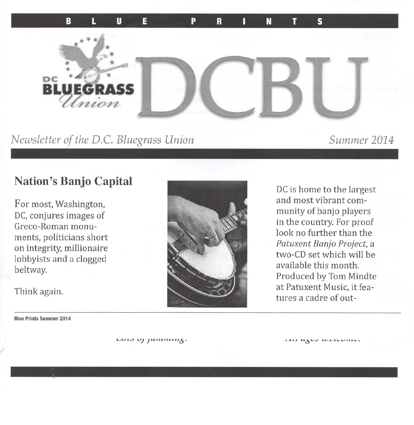

Newsletter of the D.C. Bluegrass Union

Summer 2014

## **Nation's Banjo Capital**

For most, Washington, DC, conjures images of Greco-Roman monuments, politicians short on integrity, millionaire lobbyists and a clogged beltway.

Think again.

**Blue Prints Summer 2014** 

DC is home to the largest and most vibrant community of banjo players in the country. For proof look no further than the Patuxent Banjo Project, a two-CD set which will be available this month. Produced by Tom Mindte at Patuxent Music, it features a cadre of out-

LUIS UJ JUININING.

LIH WILD WERDING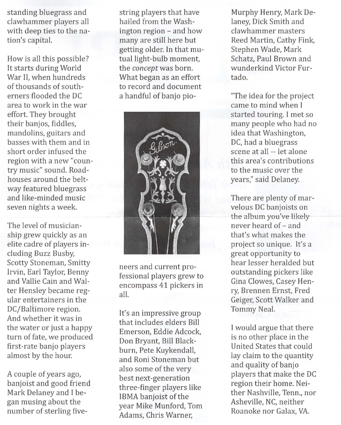standing bluegrass and clawhammer players all with deep ties to the nation's capital.

How is all this possible? It starts during World War II, when hundreds of thousands of southerners flooded the DC area to work in the war effort. They brought their banjos, fiddles, mandolins, guitars and basses with them and in short order infused the region with a new "country music" sound. Roadhouses around the beltway featured bluegrass and like-minded music seven nights a week.

The level of musicianship grew quickly as an elite cadre of players including Buzz Busby, Scotty Stoneman, Smitty Irvin, Earl Taylor, Benny and Vallie Cain and Walter Hensley became regular entertainers in the DC/Baltimore region. And whether it was in the water or just a happy turn of fate, we produced first-rate banjo players almost by the hour.

*A* couple of years *ago,*  banjoist and good friend Mark Delaney and I began musing about the number of sterling five-

string players that have hailed from the Washington region - and how many are still here but getting older. In that mutual light-bulb moment, the *concept* was born. What began as an effort to record and document a handful of banjo pia-



neers and current professional players grew to encompass 41 pickers in all.

It's an impressive group that includes elders Bill Emerson, Eddie Adcock, Don Bryant, Bill Blackburn, Pete Kuykendall, and Rani Stoneman but also some of the very best next-generation three-finger players like IBMA banjoist of the year Mike Munford, Tom Adams, Chris Warner,

Murphy Henry, Mark Delaney, Dick Smith and clawhammer masters Reed Martin, Cathy Fink, Stephen Wade, Mark Schatz, Paul Brown and wunderkind Victor Furtado.

"The idea for the project came to mind when I started touring. I met so many people who had no idea that Washington, DC, had a bluegrass scene at all -- let alone this area's contributions to the music over the years," said Delaney.

There are plenty of marvelous DC banjoists on the album you've likely never heard of- and that's what makes the project so unique. It's a great opportunity to hear lesser heralded but outstanding pickers like Gina Clowes, Casey Henry, Brennen Ernst, Fred Geiger, Scott Walker and Tommy Neal.

I would argue that there is no other place in the United States that could lay claim to the quantity and quality of banjo players that make the DC region their home. Neither Nashville, Tenn., nor Asheville, NC, neither Roanoke nor Galax, VA.